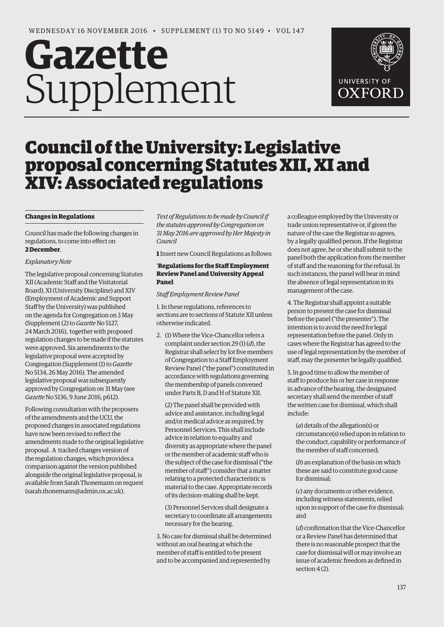# **Gazette** Supplement



# Council of the University: Legislative proposal concerning Statutes XII, XI and XIV: Associated regulations

# **Changes in Regulations**

Council has made the following changes in regulations, to come into effect on **2 December**.

# *Explanatory Note*

The legislative proposal concerning Statutes XII (Academic Staff and the Visitatorial Board), XI (University Discipline) and XIV (Employment of Academic and Support Staff by the University) was published on the agenda for Congregation on 3 May (Supplement (2) to *Gazette* No 5127, 24 March 2016), together with proposed regulation changes to be made if the statutes were approved. Six amendments to the legislative proposal were accepted by Congregation (Supplement (1) to *Gazette* No 5134, 26 May 2016). The amended legislative proposal was subsequently approved by Congregation on 31 May (see *Gazette* No 5136, 9 June 2016, p612).

Following consultation with the proposers of the amendments and the UCU, the proposed changes in associated regulations have now been revised to reflect the amendments made to the original legislative proposal. A tracked changes version of the regulation changes, which provides a comparison against the version published alongside the original legislative proposal, is available from Sarah Thonemann on request [\(sarah.thonemann@admin.ox.ac.uk\).](mailto:sarah.thonemann@admin.ox.ac.uk) 

*Text of Regulations to be made by Council if the statutes approved by Congregation on 31 May 2016 are approved by Her Majesty in Council*

**1** Insert new Council Regulations as follows:

# '**Regulations for the Staff Employment Review Panel and University Appeal Panel**

# *Staff Employment Review Panel*

1. In these regulations, references to sections are to sections of Statute XII unless otherwise indicated.

2. (1) Where the Vice-Chancellor refers a complaint under section 29 (1) (*d*), the Registrar shall select by lot five members of Congregation to a Staff Employment Review Panel ("the panel") constituted in accordance with regulations governing the membership of panels convened under Parts B, D and H of Statute XII.

(2) The panel shall be provided with advice and assistance, including legal and/or medical advice as required, by Personnel Services. This shall include advice in relation to equality and diversity as appropriate where the panel or the member of academic staff who is the subject of the case for dismissal ("the member of staff") consider that a matter relating to a protected characteristic is material to the case. Appropriate records of its decision-making shall be kept.

(3) Personnel Services shall designate a secretary to coordinate all arrangements necessary for the hearing.

3. No case for dismissal shall be determined without an oral hearing at which the member of staff is entitled to be present and to be accompanied and represented by

a colleague employed by the University or trade union representative or, if given the nature of the case the Registrar so agrees, by a legally qualified person. If the Registrar does not agree, he or she shall submit to the panel both the application from the member of staff and the reasoning for the refusal. In such instances, the panel will bear in mind the absence of legal representation in its management of the case.

4. The Registrar shall appoint a suitable person to present the case for dismissal before the panel ("the presenter"). The intention is to avoid the need for legal representation before the panel. Only in cases where the Registrar has agreed to the use of legal representation by the member of staff, may the presenter be legally qualified.

5. In good time to allow the member of staff to produce his or her case in response in advance of the hearing, the designated secretary shall send the member of staff the written case for dismissal, which shall include:

(*a*) details of the allegation(s) or circumstance(s) relied upon in relation to the conduct, capability or performance of the member of staff concerned;

(*b*) an explanation of the basis on which these are said to constitute good cause for dismissal;

(*c*) any documents or other evidence, including witness statements, relied upon in support of the case for dismissal; and

(*d*) confirmation that the Vice-Chancellor or a Review Panel has determined that there is no reasonable prospect that the case for dismissal will or may involve an issue of academic freedom as defined in section 4 (2).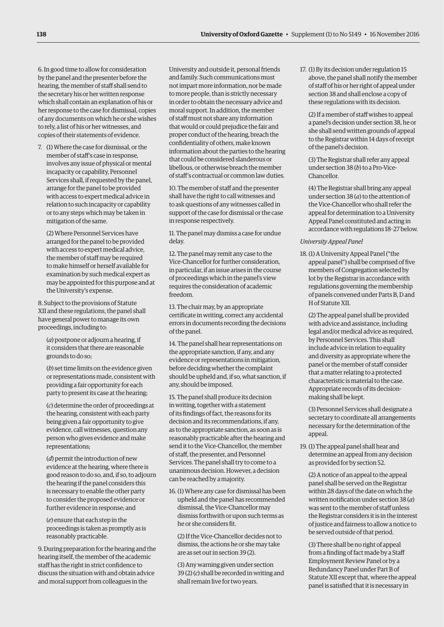6. In good time to allow for consideration by the panel and the presenter before the hearing, the member of staff shall send to the secretary his or her written response which shall contain an explanation of his or her response to the case for dismissal, copies of any documents on which he or she wishes to rely, a list of his or her witnesses, and copies of their statements of evidence.

7. (1) Where the case for dismissal, or the member of staff's case in response, involves any issue of physical or mental incapacity or capability, Personnel Services shall, if requested by the panel, arrange for the panel to be provided with access to expert medical advice in relation to such incapacity or capability or to any steps which may be taken in mitigation of the same.

(2) Where Personnel Services have arranged for the panel to be provided with access to expert medical advice, the member of staff may be required to make himself or herself available for examination by such medical expert as may be appointed for this purpose and at the University's expense.

8. Subject to the provisions of Statute XII and these regulations, the panel shall have general power to manage its own proceedings, including to:

(*a*) postpone or adjourn a hearing, if it considers that there are reasonable grounds to do so;

(*b*) set time limits on the evidence given or representations made, consistent with providing a fair opportunity for each party to present its case at the hearing;

(*c*) determine the order of proceedings at the hearing, consistent with each party being given a fair opportunity to give evidence, call witnesses, question any person who gives evidence and make representations;

(*d*) permit the introduction of new evidence at the hearing, where there is good reason to do so, and, if so, to adjourn the hearing if the panel considers this is necessary to enable the other party to consider the proposed evidence or further evidence in response; and

(*e*) ensure that each step in the proceedings is taken as promptly as is reasonably practicable.

9. During preparation for the hearing and the hearing itself, the member of the academic staff has the right in strict confidence to discuss the situation with and obtain advice and moral support from colleagues in the

University and outside it, personal friends and family. Such communications must not impart more information, nor be made to more people, than is strictly necessary in order to obtain the necessary advice and moral support. In addition, the member of staff must not share any information that would or could prejudice the fair and proper conduct of the hearing, breach the confidentiality of others, make known information about the parties to the hearing that could be considered slanderous or libellous, or otherwise breach the member of staff's contractual or common law duties.

10. The member of staff and the presenter shall have the right to call witnesses and to ask questions of any witnesses called in support of the case for dismissal or the case in response respectively.

11. The panel may dismiss a case for undue delay.

12. The panel may remit any case to the Vice-Chancellor for further consideration, in particular, if an issue arises in the course of proceedings which in the panel's view requires the consideration of academic freedom.

13. The chair may, by an appropriate certificate in writing, correct any accidental errors in documents recording the decisions of the panel.

14. The panel shall hear representations on the appropriate sanction, if any, and any evidence or representations in mitigation, before deciding whether the complaint should be upheld and, if so, what sanction, if any, should be imposed.

15. The panel shall produce its decision in writing, together with a statement of its findings of fact, the reasons for its decision and its recommendations, if any, as to the appropriate sanction, as soon as is reasonably practicable after the hearing and send it to the Vice-Chancellor, the member of staff, the presenter, and Personnel Services. The panel shall try to come to a unanimous decision. However, a decision can be reached by a majority.

16. (1) Where any case for dismissal has been upheld and the panel has recommended dismissal, the Vice-Chancellor may dismiss forthwith or upon such terms as he or she considers fit.

(2) If the Vice-Chancellor decides not to dismiss, the actions he or she may take are as set out in section 39 (2).

(3) Any warning given under section 39 (2) (*c*) shall be recorded in writing and shall remain live for two years.

17. (1) By its decision under regulation 15 above, the panel shall notify the member of staff of his or her right of appeal under section 38 and shall enclose a copy of these regulations with its decision.

(2) If a member of staff wishes to appeal a panel's decision under section 38, he or she shall send written grounds of appeal to the Registrar within 14 days of receipt of the panel's decision.

(3) The Registrar shall refer any appeal under section 38 (*b*) to a Pro-Vice-Chancellor.

(4) The Registrar shall bring any appeal under section 38 (*a*) to the attention of the Vice-Chancellor who shall refer the appeal for determination to a University Appeal Panel constituted and acting in accordance with regulations 18–27 below.

#### *University Appeal Panel*

18. (1) A University Appeal Panel ("the appeal panel") shall be comprised of five members of Congregation selected by lot by the Registrar in accordance with regulations governing the membership of panels convened under Parts B, D and H of Statute XII.

(2) The appeal panel shall be provided with advice and assistance, including legal and/or medical advice as required, by Personnel Services. This shall include advice in relation to equality and diversity as appropriate where the panel or the member of staff consider that a matter relating to a protected characteristic is material to the case. Appropriate records of its decisionmaking shall be kept.

(3) Personnel Services shall designate a secretary to coordinate all arrangements necessary for the determination of the appeal.

19. (1) The appeal panel shall hear and determine an appeal from any decision as provided for by section 52.

(2) A notice of an appeal to the appeal panel shall be served on the Registrar within 28 days of the date on which the written notification under section 38 (*a*) was sent to the member of staff unless the Registrar considers it is in the interest of justice and fairness to allow a notice to be served outside of that period.

(3) There shall be no right of appeal from a finding of fact made by a Staff Employment Review Panel or by a Redundancy Panel under Part B of Statute XII except that, where the appeal panel is satisfied that it is necessary in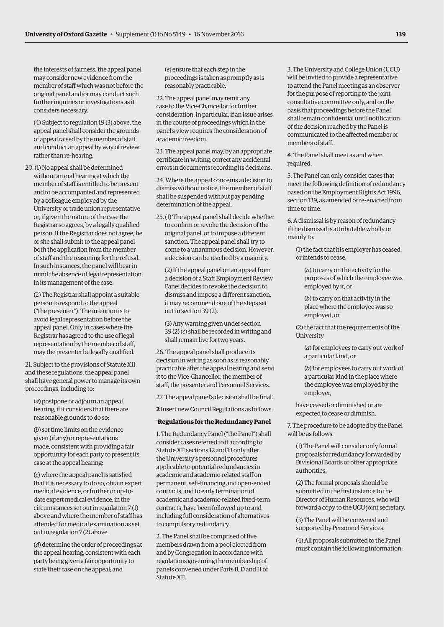the interests of fairness, the appeal panel may consider new evidence from the member of staff which was not before the original panel and/or may conduct such further inquiries or investigations as it considers necessary.

(4) Subject to regulation 19 (3) above, the appeal panel shall consider the grounds of appeal raised by the member of staff and conduct an appeal by way of review rather than re-hearing.

20. (1) No appeal shall be determined without an oral hearing at which the member of staff is entitled to be present and to be accompanied and represented by a colleague employed by the University or trade union representative or, if given the nature of the case the Registrar so agrees, by a legally qualified person. If the Registrar does not agree, he or she shall submit to the appeal panel both the application from the member of staff and the reasoning for the refusal. In such instances, the panel will bear in mind the absence of legal representation in its management of the case.

(2) The Registrar shall appoint a suitable person to respond to the appeal ("the presenter"). The intention is to avoid legal representation before the appeal panel. Only in cases where the Registrar has agreed to the use of legal representation by the member of staff, may the presenter be legally qualified.

21. Subject to the provisions of Statute XII and these regulations, the appeal panel shall have general power to manage its own proceedings, including to:

(*a*) postpone or adjourn an appeal hearing, if it considers that there are reasonable grounds to do so;

(*b*) set time limits on the evidence given (if any) or representations made, consistent with providing a fair opportunity for each party to present its case at the appeal hearing;

(*c*) where the appeal panel is satisfied that it is necessary to do so, obtain expert medical evidence, or further or up-todate expert medical evidence, in the circumstances set out in regulation 7 (1) above and where the member of staff has attended for medical examination as set out in regulation 7 (2) above.

(*d*) determine the order of proceedings at the appeal hearing, consistent with each party being given a fair opportunity to state their case on the appeal; and

(*e*) ensure that each step in the proceedings is taken as promptly as is reasonably practicable.

22. The appeal panel may remit any case to the Vice-Chancellor for further consideration, in particular, if an issue arises in the course of proceedings which in the panel's view requires the consideration of academic freedom.

23. The appeal panel may, by an appropriate certificate in writing, correct any accidental errors in documents recording its decisions.

24. Where the appeal concerns a decision to dismiss without notice, the member of staff shall be suspended without pay pending determination of the appeal.

25. (1) The appeal panel shall decide whether to confirm or revoke the decision of the original panel, or to impose a different sanction. The appeal panel shall try to come to a unanimous decision. However, a decision can be reached by a majority.

(2) If the appeal panel on an appeal from a decision of a Staff Employment Review Panel decides to revoke the decision to dismiss and impose a different sanction, it may recommend one of the steps set out in section 39 (2).

(3) Any warning given under section 39 (2) (*c*) shall be recorded in writing and shall remain live for two years.

26. The appeal panel shall produce its decision in writing as soon as is reasonably practicable after the appeal hearing and send it to the Vice-Chancellor, the member of staff, the presenter and Personnel Services.

27. The appeal panel's decision shall be final.'

**2** Insert new Council Regulations as follows:

#### '**Regulations for the Redundancy Panel**

1. The Redundancy Panel ("the Panel") shall consider cases referred to it according to Statute XII sections 12 and 13 only after the University's personnel procedures applicable to potential redundancies in academic and academic-related staff on permanent, self-financing and open-ended contracts, and to early termination of academic and academic-related fixed-term contracts, have been followed up to and including full consideration of alternatives to compulsory redundancy.

2. The Panel shall be comprised of five members drawn from a pool elected from and by Congregation in accordance with regulations governing the membership of panels convened under Parts B, D and H of Statute XII.

3. The University and College Union (UCU) will be invited to provide a representative to attend the Panel meeting as an observer for the purpose of reporting to the joint consultative committee only, and on the basis that proceedings before the Panel shall remain confidential until notification of the decision reached by the Panel is communicated to the affected member or members of staff.

4. The Panel shall meet as and when required.

5. The Panel can only consider cases that meet the following definition of redundancy based on the Employment Rights Act 1996, section 139, as amended or re-enacted from time to time.

6. A dismissal is by reason of redundancy if the dismissal is attributable wholly or mainly to:

(1) the fact that his employer has ceased, or intends to cease,

(*a*) to carry on the activity for the purposes of which the employee was employed by it, or

(*b*) to carry on that activity in the place where the employee was so employed, or

(2) the fact that the requirements of the University

(*a*) for employees to carry out work of a particular kind, or

(*b*) for employees to carry out work of a particular kind in the place where the employee was employed by the employer,

have ceased or diminished or are expected to cease or diminish.

7. The procedure to be adopted by the Panel will be as follows.

(1) The Panel will consider only formal proposals for redundancy forwarded by Divisional Boards or other appropriate authorities.

(2) The formal proposals should be submitted in the first instance to the Director of Human Resources, who will forward a copy to the UCU joint secretary.

(3) The Panel will be convened and supported by Personnel Services.

(4) All proposals submitted to the Panel must contain the following information: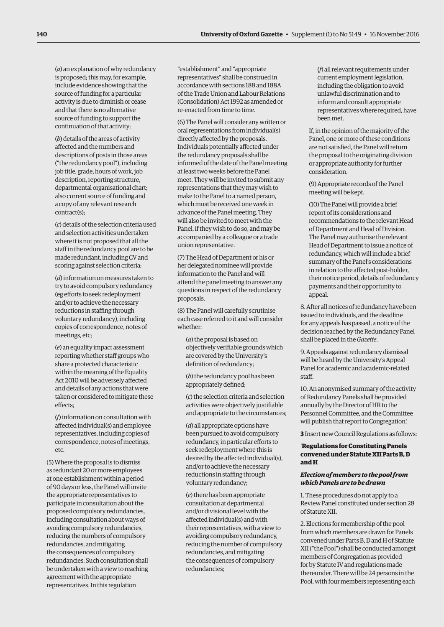(*a*) an explanation of why redundancy is proposed; this may, for example, include evidence showing that the source of funding for a particular activity is due to diminish or cease and that there is no alternative source of funding to support the continuation of that activity;

(*b*) details of the areas of activity affected and the numbers and descriptions of posts in those areas ("the redundancy pool"), including job title, grade, hours of work, job description, reporting structure, departmental organisational chart; also current source of funding and a copy of any relevant research contract(s);

(*c*) details of the selection criteria used and selection activities undertaken where it is not proposed that all the staff in the redundancy pool are to be made redundant, including CV and scoring against selection criteria;

(*d*) information on measures taken to try to avoid compulsory redundancy (eg efforts to seek redeployment and/or to achieve the necessary reductions in staffing through voluntary redundancy), including copies of correspondence, notes of meetings, etc;

(*e*) an equality impact assessment reporting whether staff groups who share a protected characteristic within the meaning of the Equality Act 2010 will be adversely affected and details of any actions that were taken or considered to mitigate these effects;

(*f*) information on consultation with affected individual(s) and employee representatives, including copies of correspondence, notes of meetings, etc.

(5) Where the proposal is to dismiss as redundant 20 or more employees at one establishment within a period of 90 days or less, the Panel will invite the appropriate representatives to participate in consultation about the proposed compulsory redundancies, including consultation about ways of avoiding compulsory redundancies, reducing the numbers of compulsory redundancies, and mitigating the consequences of compulsory redundancies. Such consultation shall be undertaken with a view to reaching agreement with the appropriate representatives. In this regulation

"establishment" and "appropriate representatives" shall be construed in accordance with sections 188 and 188A of the Trade Union and Labour Relations (Consolidation) Act 1992 as amended or re-enacted from time to time.

(6) The Panel will consider any written or oral representations from individual(s) directly affected by the proposals. Individuals potentially affected under the redundancy proposals shall be informed of the date of the Panel meeting at least two weeks before the Panel meet. They will be invited to submit any representations that they may wish to make to the Panel to a named person, which must be received one week in advance of the Panel meeting. They will also be invited to meet with the Panel, if they wish to do so, and may be accompanied by a colleague or a trade union representative.

(7) The Head of Department or his or her delegated nominee will provide information to the Panel and will attend the panel meeting to answer any questions in respect of the redundancy proposals.

(8) The Panel will carefully scrutinise each case referred to it and will consider whether:

(*a*) the proposal is based on objectively verifiable grounds which are covered by the University's definition of redundancy;

(*b*) the redundancy pool has been appropriately defined;

(*c*) the selection criteria and selection activities were objectively justifiable and appropriate to the circumstances;

(*d*) all appropriate options have been pursued to avoid compulsory redundancy, in particular efforts to seek redeployment where this is desired by the affected individual(s), and/or to achieve the necessary reductions in staffing through voluntary redundancy;

(*e*) there has been appropriate consultation at departmental and/or divisional level with the affected individual(s) and with their representatives, with a view to avoiding compulsory redundancy, reducing the number of compulsory redundancies, and mitigating the consequences of compulsory redundancies;

(*f*) all relevant requirements under current employment legislation, including the obligation to avoid unlawful discrimination and to inform and consult appropriate representatives where required, have been met.

If, in the opinion of the majority of the Panel, one or more of these conditions are not satisfied, the Panel will return the proposal to the originating division or appropriate authority for further consideration.

(9) Appropriate records of the Panel meeting will be kept.

(10) The Panel will provide a brief report of its considerations and recommendations to the relevant Head of Department and Head of Division. The Panel may authorise the relevant Head of Department to issue a notice of redundancy, which will include a brief summary of the Panel's considerations in relation to the affected post-holder, their notice period, details of redundancy payments and their opportunity to appeal.

8. After all notices of redundancy have been issued to individuals, and the deadline for any appeals has passed, a notice of the decision reached by the Redundancy Panel shall be placed in the *Gazette*.

9. Appeals against redundancy dismissal will be heard by the University's Appeal Panel for academic and academic-related staff.

10. An anonymised summary of the activity of Redundancy Panels shall be provided annually by the Director of HR to the Personnel Committee, and the Committee will publish that report to Congregation.'

**3** Insert new Council Regulations as follows:

# '**Regulations for Constituting Panels convened under Statute XII Parts B, D and H**

### *Election of members to the pool from which Panels are to be drawn*

1. These procedures do not apply to a Review Panel constituted under section 28 of Statute XII.

2. Elections for membership of the pool from which members are drawn for Panels convened under Parts B, D and H of Statute XII ("the Pool") shall be conducted amongst members of Congregation as provided for by Statute IV and regulations made thereunder. There will be 24 persons in the Pool, with four members representing each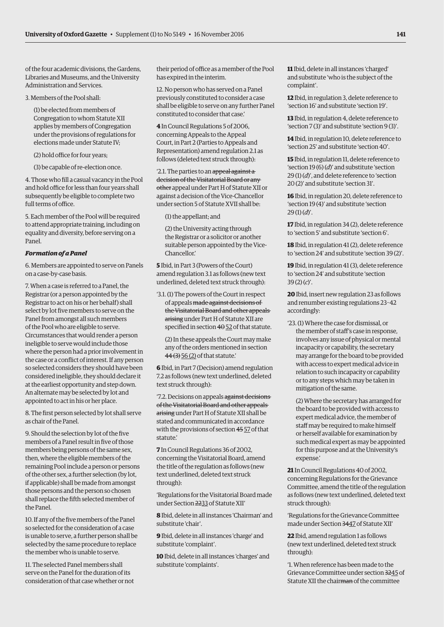of the four academic divisions, the Gardens, Libraries and Museums, and the University Administration and Services.

3. Members of the Pool shall:

(1) be elected from members of Congregation to whom Statute XII applies by members of Congregation under the provisions of regulations for elections made under Statute IV;

(2) hold office for four years;

(3) be capable of re-election once.

4. Those who fill a casual vacancy in the Pool and hold office for less than four years shall subsequently be eligible to complete two full terms of office.

5. Each member of the Pool will be required to attend appropriate training, including on equality and diversity, before serving on a Panel.

#### *Formation of a Panel*

6. Members are appointed to serve on Panels on a case-by-case basis.

7. When a case is referred to a Panel, the Registrar (or a person appointed by the Registrar to act on his or her behalf) shall select by lot five members to serve on the Panel from amongst all such members of the Pool who are eligible to serve. Circumstances that would render a person ineligible to serve would include those where the person had a prior involvement in the case or a conflict of interest. If any person so selected considers they should have been considered ineligible, they should declare it at the earliest opportunity and step down. An alternate may be selected by lot and appointed to act in his or her place.

8. The first person selected by lot shall serve as chair of the Panel.

9. Should the selection by lot of the five members of a Panel result in five of those members being persons of the same sex, then, where the eligible members of the remaining Pool include a person or persons of the other sex, a further selection (by lot, if applicable) shall be made from amongst those persons and the person so chosen shall replace the fifth selected member of the Panel.

10. If any of the five members of the Panel so selected for the consideration of a case is unable to serve, a further person shall be selected by the same procedure to replace the member who is unable to serve.

11. The selected Panel members shall serve on the Panel for the duration of its consideration of that case whether or not their period of office as a member of the Pool has expired in the interim.

12. No person who has served on a Panel previously constituted to consider a case shall be eligible to serve on any further Panel constituted to consider that case.'

**4** In Council Regulations 5 of 2006, concerning Appeals to the Appeal Court, in Part 2 (Parties to Appeals and Representation) amend regulation 2.1 as follows (deleted text struck through):

'2.1. The parties to an appeal against a decision of the Visitatorial Board or any other appeal under Part H of Statute XII or against a decision of the Vice-Chancellor under section 5 of Statute XVII shall be:

(1) the appellant; and

(2) the University acting through the Registrar or a solicitor or another suitable person appointed by the Vice-Chancellor.'

**5** Ibid, in Part 3 (Powers of the Court) amend regulation 3.1 as follows (new text underlined, deleted text struck through):

'3.1. (1) The powers of the Court in respect of appeals made against decisions of the Visitatorial Board and other appeals arising under Part H of Statute XII are specified in section  $4\theta$  52 of that statute.

(2) In these appeals the Court may make any of the orders mentioned in section 44 (3) 56 (2) of that statute.'

**6** Ibid, in Part 7 (Decision) amend regulation 7.2 as follows (new text underlined, deleted text struck through):

'7.2. Decisions on appeals against decisions of the Visitatorial Board and other appeals arising under Part H of Statute XII shall be stated and communicated in accordance with the provisions of section 45 57 of that statute.'

**7** In Council Regulations 36 of 2002, concerning the Visitatorial Board, amend the title of the regulation as follows (new text underlined, deleted text struck through):

'Regulations for the Visitatorial Board made under Section 2233 of Statute XII'

**8** Ibid, delete in all instances 'Chairman' and substitute 'chair'.

**9** Ibid, delete in all instances 'charge' and substitute 'complaint'.

**10** Ibid, delete in all instances 'charges' and substitute 'complaints'.

**11** Ibid, delete in all instances 'charged' and substitute 'who is the subject of the complaint'.

**12** Ibid, in regulation 3, delete reference to 'section 16' and substitute 'section 19'.

**13** Ibid, in regulation 4, delete reference to 'section 7 (3)' and substitute 'section 9 (3)'.

**14** Ibid, in regulation 10, delete reference to 'section 25' and substitute 'section 40'.

**15** Ibid, in regulation 11, delete reference to 'section 19 (6) (*d*)' and substitute 'section 29 (1) (*d*)', and delete reference to 'section 20 (2)' and substitute 'section 31'.

**16** Ibid, in regulation 20, delete reference to 'section 19 (4)' and substitute 'section 29 (1) (*d*)'.

**17** Ibid, in regulation 34 (2), delete reference to 'section 5' and substitute 'section 6'.

**18** Ibid, in regulation 41 (2), delete reference to 'section 24' and substitute 'section 39 (2)'.

**19** Ibid, in regulation 41 (3), delete reference to 'section 24' and substitute 'section 39 (2) (*c*)'.

**20** Ibid, insert new regulation 23 as follows and renumber existing regulations 23–42 accordingly:

'23. (1) Where the case for dismissal, or the member of staff's case in response, involves any issue of physical or mental incapacity or capability, the secretary may arrange for the board to be provided with access to expert medical advice in relation to such incapacity or capability or to any steps which may be taken in mitigation of the same.

(2) Where the secretary has arranged for the board to be provided with access to expert medical advice, the member of staff may be required to make himself or herself available for examination by such medical expert as may be appointed for this purpose and at the University's expense.'

**21** In Council Regulations 40 of 2002, concerning Regulations for the Grievance Committee, amend the title of the regulation as follows (new text underlined, deleted text struck through):

'Regulations for the Grievance Committee made under Section 3447 of Statute XII'

**22** Ibid, amend regulation 1 as follows (new text underlined, deleted text struck through):

'1. When reference has been made to the Grievance Committee under section 3245 of Statute XII the chairman of the committee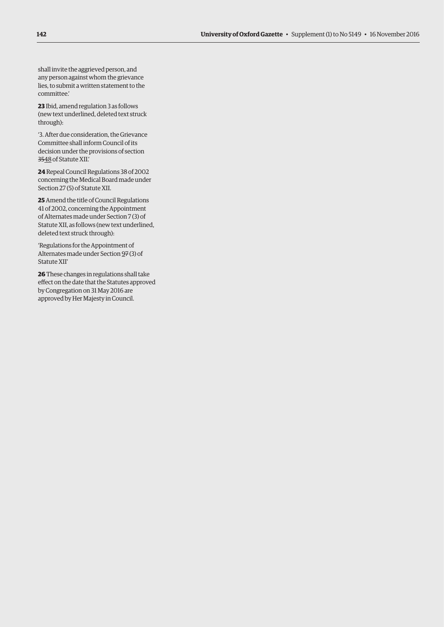shall invite the aggrieved person, and any person against whom the grievance lies, to submit a written statement to the committee.'

**23** Ibid, amend regulation 3 as follows (new text underlined, deleted text struck through):

'3. After due consideration, the Grievance Committee shall inform Council of its decision under the provisions of section 3548 of Statute XII.'

**24** Repeal Council Regulations 38 of 2002 concerning the Medical Board made under Section 27 (5) of Statute XII.

**25** Amend the title of Council Regulations 41 of 2002, concerning the Appointment of Alternates made under Section 7 (3) of Statute XII, as follows (new text underlined, deleted text struck through):

'Regulations for the Appointment of Alternates made under Section 97 (3) of Statute XII'

**26** These changes in regulations shall take effect on the date that the Statutes approved by Congregation on 31 May 2016 are approved by Her Majesty in Council.